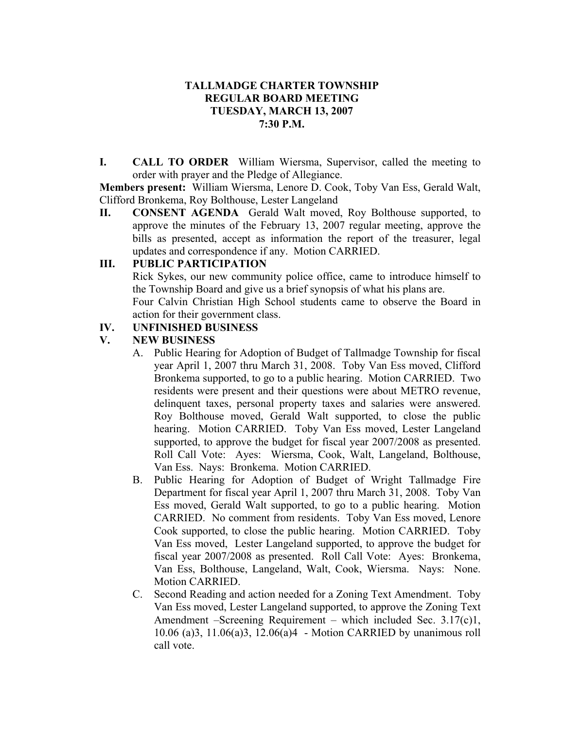#### **TALLMADGE CHARTER TOWNSHIP REGULAR BOARD MEETING TUESDAY, MARCH 13, 2007 7:30 P.M.**

**I. CALL TO ORDER** William Wiersma, Supervisor, called the meeting to order with prayer and the Pledge of Allegiance.

**Members present:** William Wiersma, Lenore D. Cook, Toby Van Ess, Gerald Walt, Clifford Bronkema, Roy Bolthouse, Lester Langeland

**II. CONSENT AGENDA** Gerald Walt moved, Roy Bolthouse supported, to approve the minutes of the February 13, 2007 regular meeting, approve the bills as presented, accept as information the report of the treasurer, legal updates and correspondence if any. Motion CARRIED.

### **III. PUBLIC PARTICIPATION**

Rick Sykes, our new community police office, came to introduce himself to the Township Board and give us a brief synopsis of what his plans are.

Four Calvin Christian High School students came to observe the Board in action for their government class.

### **IV. UNFINISHED BUSINESS**

# **V. NEW BUSINESS**

- A. Public Hearing for Adoption of Budget of Tallmadge Township for fiscal year April 1, 2007 thru March 31, 2008. Toby Van Ess moved, Clifford Bronkema supported, to go to a public hearing. Motion CARRIED. Two residents were present and their questions were about METRO revenue, delinquent taxes, personal property taxes and salaries were answered. Roy Bolthouse moved, Gerald Walt supported, to close the public hearing. Motion CARRIED. Toby Van Ess moved, Lester Langeland supported, to approve the budget for fiscal year 2007/2008 as presented. Roll Call Vote: Ayes: Wiersma, Cook, Walt, Langeland, Bolthouse, Van Ess. Nays: Bronkema. Motion CARRIED.
- B. Public Hearing for Adoption of Budget of Wright Tallmadge Fire Department for fiscal year April 1, 2007 thru March 31, 2008. Toby Van Ess moved, Gerald Walt supported, to go to a public hearing. Motion CARRIED. No comment from residents. Toby Van Ess moved, Lenore Cook supported, to close the public hearing. Motion CARRIED. Toby Van Ess moved, Lester Langeland supported, to approve the budget for fiscal year 2007/2008 as presented. Roll Call Vote: Ayes: Bronkema, Van Ess, Bolthouse, Langeland, Walt, Cook, Wiersma. Nays: None. Motion CARRIED.
- C. Second Reading and action needed for a Zoning Text Amendment. Toby Van Ess moved, Lester Langeland supported, to approve the Zoning Text Amendment –Screening Requirement – which included Sec. 3.17(c)1. 10.06 (a)3, 11.06(a)3, 12.06(a)4 - Motion CARRIED by unanimous roll call vote.